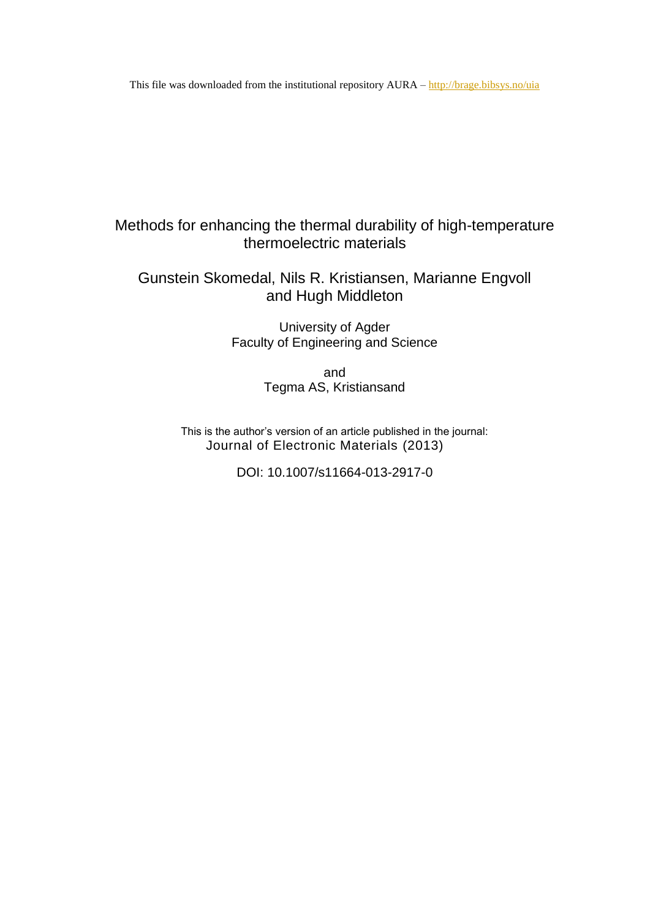This file was downloaded from the institutional repository AURA – <http://brage.bibsys.no/uia>

# Methods for enhancing the thermal durability of high-temperature thermoelectric materials

# Gunstein Skomedal, Nils R. Kristiansen, Marianne Engvoll and Hugh Middleton

University of Agder Faculty of Engineering and Science

> and Tegma AS, Kristiansand

This is the author's version of an article published in the journal: Journal of Electronic Materials (2013)

DOI: 10.1007/s11664-013-2917-0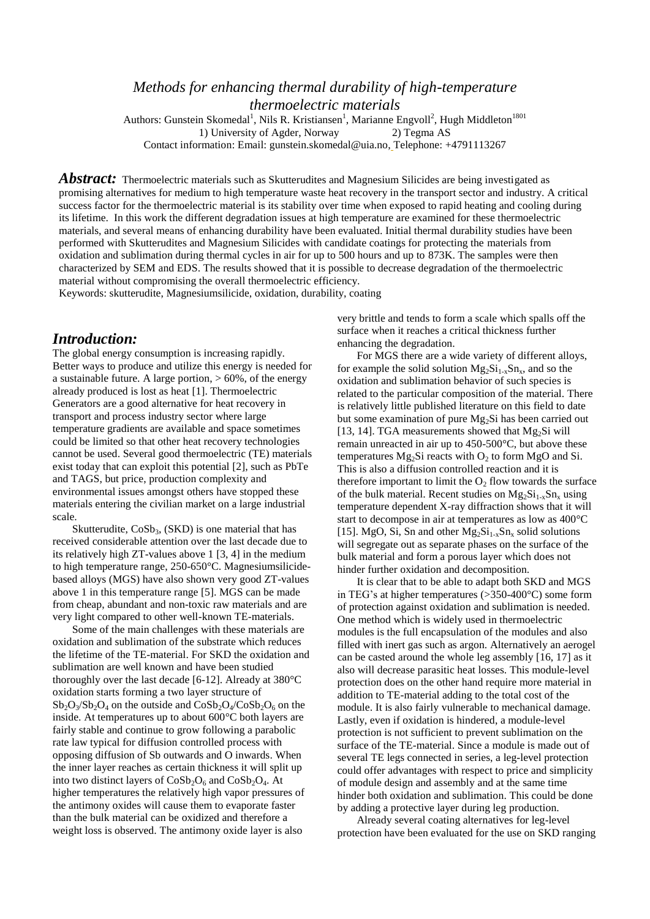## *Methods for enhancing thermal durability of high-temperature thermoelectric materials*

Authors: Gunstein Skomedal<sup>1</sup>, Nils R. Kristiansen<sup>1</sup>, Marianne Engvoll<sup>2</sup>, Hugh Middleton<sup>1801</sup> 1) University of Agder, Norway 2) Tegma AS Contact information: Email: [gunstein.skomedal@uia.no,](mailto:gunstein.skomedal@uia.no) Telephone: +4791113267

Abstract: Thermoelectric materials such as Skutterudites and Magnesium Silicides are being investigated as promising alternatives for medium to high temperature waste heat recovery in the transport sector and industry. A critical success factor for the thermoelectric material is its stability over time when exposed to rapid heating and cooling during its lifetime. In this work the different degradation issues at high temperature are examined for these thermoelectric materials, and several means of enhancing durability have been evaluated. Initial thermal durability studies have been performed with Skutterudites and Magnesium Silicides with candidate coatings for protecting the materials from oxidation and sublimation during thermal cycles in air for up to 500 hours and up to 873K. The samples were then characterized by SEM and EDS. The results showed that it is possible to decrease degradation of the thermoelectric material without compromising the overall thermoelectric efficiency.

Keywords: skutterudite, Magnesiumsilicide, oxidation, durability, coating

### *Introduction:*

The global energy consumption is increasing rapidly. Better ways to produce and utilize this energy is needed for a sustainable future. A large portion,  $> 60\%$ , of the energy already produced is lost as heat [\[1\]](#page-5-0). Thermoelectric Generators are a good alternative for heat recovery in transport and process industry sector where large temperature gradients are available and space sometimes could be limited so that other heat recovery technologies cannot be used. Several good thermoelectric (TE) materials exist today that can exploit this potential [\[2\]](#page-5-1), such as PbTe and TAGS, but price, production complexity and environmental issues amongst others have stopped these materials entering the civilian market on a large industrial scale.

Skutterudite,  $CoSb<sub>3</sub>$ , (SKD) is one material that has received considerable attention over the last decade due to its relatively high ZT-values above 1 [\[3,](#page-5-2) [4\]](#page-5-3) in the medium to high temperature range, 250-650°C. Magnesiumsilicidebased alloys (MGS) have also shown very good ZT-values above 1 in this temperature range [\[5\]](#page-5-4). MGS can be made from cheap, abundant and non-toxic raw materials and are very light compared to other well-known TE-materials.

Some of the main challenges with these materials are oxidation and sublimation of the substrate which reduces the lifetime of the TE-material. For SKD the oxidation and sublimation are well known and have been studied thoroughly over the last decade [\[6-12\]](#page-5-5). Already at 380°C oxidation starts forming a two layer structure of  $Sb_2O_3/Sb_2O_4$  on the outside and  $CoSb_2O_4/CoSb_2O_6$  on the inside. At temperatures up to about 600°C both layers are fairly stable and continue to grow following a parabolic rate law typical for diffusion controlled process with opposing diffusion of Sb outwards and O inwards. When the inner layer reaches as certain thickness it will split up into two distinct layers of  $CoSb<sub>2</sub>O<sub>6</sub>$  and  $CoSb<sub>2</sub>O<sub>4</sub>$ . At higher temperatures the relatively high vapor pressures of the antimony oxides will cause them to evaporate faster than the bulk material can be oxidized and therefore a weight loss is observed. The antimony oxide layer is also

very brittle and tends to form a scale which spalls off the surface when it reaches a critical thickness further enhancing the degradation.

For MGS there are a wide variety of different alloys, for example the solid solution  $Mg_2Si_{1-x}Sn_x$ , and so the oxidation and sublimation behavior of such species is related to the particular composition of the material. There is relatively little published literature on this field to date but some examination of pure Mg<sub>2</sub>Si has been carried out [\[13,](#page-5-6) [14\]](#page-5-7). TGA measurements showed that  $Mg_2Si$  will remain unreacted in air up to 450-500°C, but above these temperatures  $Mg_2Si$  reacts with  $O_2$  to form  $MgO$  and Si. This is also a diffusion controlled reaction and it is therefore important to limit the  $O_2$  flow towards the surface of the bulk material. Recent studies on  $Mg_2Si_{1-x}Sn_x$  using temperature dependent X-ray diffraction shows that it will start to decompose in air at temperatures as low as 400°C [\[15\]](#page-5-8). MgO, Si, Sn and other  $Mg_2Si_{1-x}Sn_x$  solid solutions will segregate out as separate phases on the surface of the bulk material and form a porous layer which does not hinder further oxidation and decomposition.

It is clear that to be able to adapt both SKD and MGS in TEG's at higher temperatures (>350-400°C) some form of protection against oxidation and sublimation is needed. One method which is widely used in thermoelectric modules is the full encapsulation of the modules and also filled with inert gas such as argon. Alternatively an aerogel can be casted around the whole leg assembly [\[16,](#page-5-9) [17\]](#page-5-10) as it also will decrease parasitic heat losses. This module-level protection does on the other hand require more material in addition to TE-material adding to the total cost of the module. It is also fairly vulnerable to mechanical damage. Lastly, even if oxidation is hindered, a module-level protection is not sufficient to prevent sublimation on the surface of the TE-material. Since a module is made out of several TE legs connected in series, a leg-level protection could offer advantages with respect to price and simplicity of module design and assembly and at the same time hinder both oxidation and sublimation. This could be done by adding a protective layer during leg production.

Already several coating alternatives for leg-level protection have been evaluated for the use on SKD ranging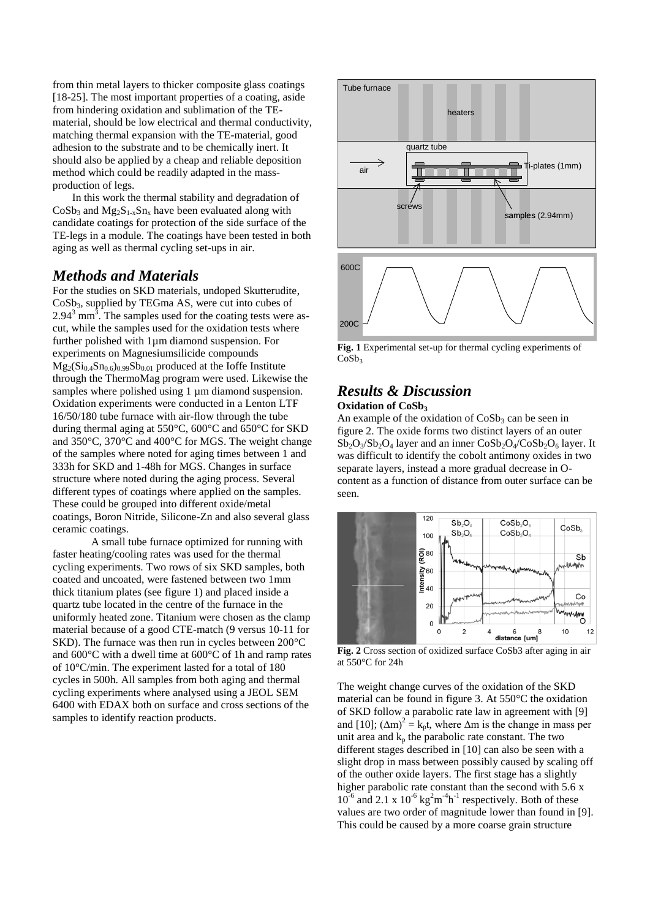from thin metal layers to thicker composite glass coatings [\[18-25\]](#page-5-11). The most important properties of a coating, aside from hindering oxidation and sublimation of the TEmaterial, should be low electrical and thermal conductivity, matching thermal expansion with the TE-material, good adhesion to the substrate and to be chemically inert. It should also be applied by a cheap and reliable deposition method which could be readily adapted in the massproduction of legs.

In this work the thermal stability and degradation of  $CoSb<sub>3</sub>$  and  $Mg<sub>2</sub>S<sub>1-x</sub>Sn<sub>x</sub>$  have been evaluated along with candidate coatings for protection of the side surface of the TE-legs in a module. The coatings have been tested in both aging as well as thermal cycling set-ups in air.

## *Methods and Materials*

For the studies on SKD materials, undoped Skutterudite, CoSb3, supplied by TEGma AS, were cut into cubes of  $2.94<sup>3</sup>$  mm<sup>3</sup>. The samples used for the coating tests were ascut, while the samples used for the oxidation tests where further polished with 1µm diamond suspension. For experiments on Magnesiumsilicide compounds  $Mg_2(Si_{0.4}Sn_{0.6})_{0.99}Sb_{0.01}$  produced at the Ioffe Institute through the ThermoMag program were used. Likewise the samples where polished using 1  $\mu$ m diamond suspension. Oxidation experiments were conducted in a Lenton LTF 16/50/180 tube furnace with air-flow through the tube during thermal aging at 550°C, 600°C and 650°C for SKD and 350°C, 370°C and 400°C for MGS. The weight change of the samples where noted for aging times between 1 and 333h for SKD and 1-48h for MGS. Changes in surface structure where noted during the aging process. Several different types of coatings where applied on the samples. These could be grouped into different oxide/metal coatings, Boron Nitride, Silicone-Zn and also several glass ceramic coatings.

A small tube furnace optimized for running with faster heating/cooling rates was used for the thermal cycling experiments. Two rows of six SKD samples, both coated and uncoated, were fastened between two 1mm thick titanium plates (see figure 1) and placed inside a quartz tube located in the centre of the furnace in the uniformly heated zone. Titanium were chosen as the clamp material because of a good CTE-match (9 versus 10-11 for SKD). The furnace was then run in cycles between 200°C and 600°C with a dwell time at 600°C of 1h and ramp rates of 10°C/min. The experiment lasted for a total of 180 cycles in 500h. All samples from both aging and thermal cycling experiments where analysed using a JEOL SEM 6400 with EDAX both on surface and cross sections of the samples to identify reaction products.



**Fig. 1** Experimental set-up for thermal cycling experiments of  $CoSh<sub>2</sub>$ 

### *Results & Discussion* **Oxidation of CoSb<sup>3</sup>**

An example of the oxidation of  $CoSb<sub>3</sub>$  can be seen in

figure 2. The oxide forms two distinct layers of an outer  $Sb_2O_3/Sb_2O_4$  layer and an inner  $CoSb_2O_4/CoSb_2O_6$  layer. It was difficult to identify the cobolt antimony oxides in two separate layers, instead a more gradual decrease in Ocontent as a function of distance from outer surface can be seen.



**Fig. 2** Cross section of oxidized surface CoSb3 after aging in air at 550°C for 24h

The weight change curves of the oxidation of the SKD material can be found in figure 3. At 550°C the oxidation of SKD follow a parabolic rate law in agreement with [\[9\]](#page-5-12) and [\[10\]](#page-5-13);  $(\Delta m)^2 = k_p t$ , where  $\Delta m$  is the change in mass per unit area and  $k_p$  the parabolic rate constant. The two different stages described in [\[10\]](#page-5-13) can also be seen with a slight drop in mass between possibly caused by scaling off of the outher oxide layers. The first stage has a slightly higher parabolic rate constant than the second with 5.6 x  $10^{-6}$  and 2.1 x  $10^{-6}$  kg<sup>2</sup>m<sup>-4</sup>h<sup>-1</sup> respectively. Both of these values are two order of magnitude lower than found in [\[9\]](#page-5-12). This could be caused by a more coarse grain structure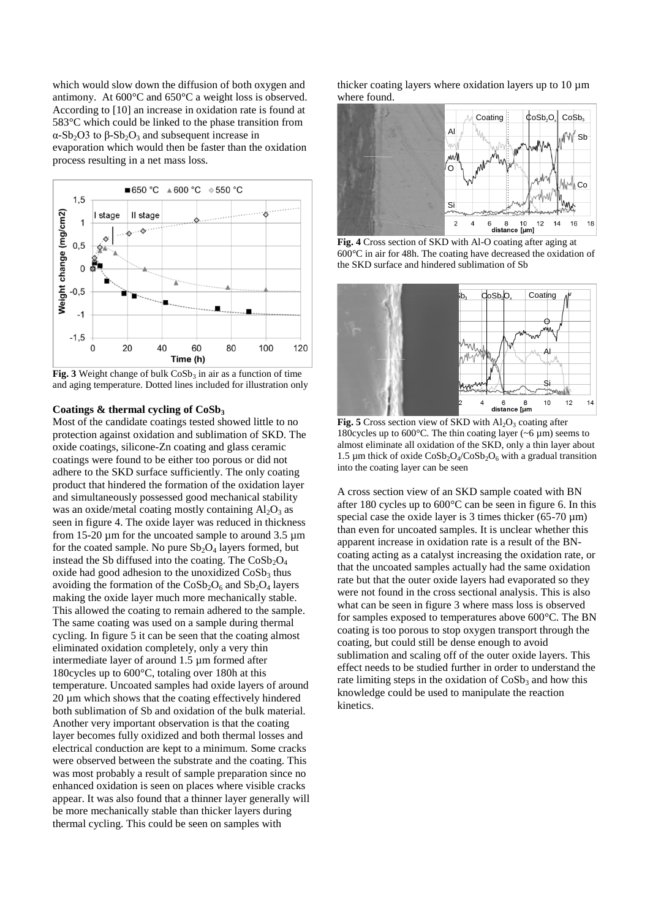which would slow down the diffusion of both oxygen and antimony. At 600°C and 650°C a weight loss is observed. According to [\[10\]](#page-5-13) an increase in oxidation rate is found at 583°C which could be linked to the phase transition from α-Sb<sub>2</sub>O3 to  $β$ -Sb<sub>2</sub>O<sub>3</sub> and subsequent increase in evaporation which would then be faster than the oxidation process resulting in a net mass loss.



**Fig. 3** Weight change of bulk  $\cos b_3$  in air as a function of time and aging temperature. Dotted lines included for illustration only

#### **Coatings & thermal cycling of CoSb<sup>3</sup>**

Most of the candidate coatings tested showed little to no protection against oxidation and sublimation of SKD. The oxide coatings, silicone-Zn coating and glass ceramic coatings were found to be either too porous or did not adhere to the SKD surface sufficiently. The only coating product that hindered the formation of the oxidation layer and simultaneously possessed good mechanical stability was an oxide/metal coating mostly containing  $Al_2O_3$  as seen in figure 4. The oxide layer was reduced in thickness from 15-20 µm for the uncoated sample to around 3.5 µm for the coated sample. No pure  $Sb_2O_4$  layers formed, but instead the Sb diffused into the coating. The  $CoSb<sub>2</sub>O<sub>4</sub>$ oxide had good adhesion to the unoxidized  $\cos b_3$  thus avoiding the formation of the  $CoSb<sub>2</sub>O<sub>6</sub>$  and  $Sb<sub>2</sub>O<sub>4</sub>$  layers making the oxide layer much more mechanically stable. This allowed the coating to remain adhered to the sample. The same coating was used on a sample during thermal cycling. In figure 5 it can be seen that the coating almost eliminated oxidation completely, only a very thin intermediate layer of around 1.5 µm formed after 180cycles up to 600°C, totaling over 180h at this temperature. Uncoated samples had oxide layers of around 20 µm which shows that the coating effectively hindered both sublimation of Sb and oxidation of the bulk material. Another very important observation is that the coating layer becomes fully oxidized and both thermal losses and electrical conduction are kept to a minimum. Some cracks were observed between the substrate and the coating. This was most probably a result of sample preparation since no enhanced oxidation is seen on places where visible cracks appear. It was also found that a thinner layer generally will be more mechanically stable than thicker layers during thermal cycling. This could be seen on samples with

thicker coating layers where oxidation layers up to  $10 \mu m$ where found.



**Fig. 4** Cross section of SKD with Al-O coating after aging at 600°C in air for 48h. The coating have decreased the oxidation of the SKD surface and hindered sublimation of Sb



**Fig. 5** Cross section view of SKD with  $Al_2O_3$  coating after 180cycles up to 600 $^{\circ}$ C. The thin coating layer ( $\sim$ 6 µm) seems to almost eliminate all oxidation of the SKD, only a thin layer about 1.5 µm thick of oxide  $\text{CoSb}_2\text{O}_4/\text{CoSb}_2\text{O}_6$  with a gradual transition into the coating layer can be seen

A cross section view of an SKD sample coated with BN after 180 cycles up to 600°C can be seen in figure 6. In this special case the oxide layer is 3 times thicker  $(65-70 \mu m)$ than even for uncoated samples. It is unclear whether this apparent increase in oxidation rate is a result of the BNcoating acting as a catalyst increasing the oxidation rate, or that the uncoated samples actually had the same oxidation rate but that the outer oxide layers had evaporated so they were not found in the cross sectional analysis. This is also what can be seen in figure 3 where mass loss is observed for samples exposed to temperatures above 600°C. The BN coating is too porous to stop oxygen transport through the coating, but could still be dense enough to avoid sublimation and scaling off of the outer oxide layers. This effect needs to be studied further in order to understand the rate limiting steps in the oxidation of  $CoSb<sub>3</sub>$  and how this knowledge could be used to manipulate the reaction kinetics.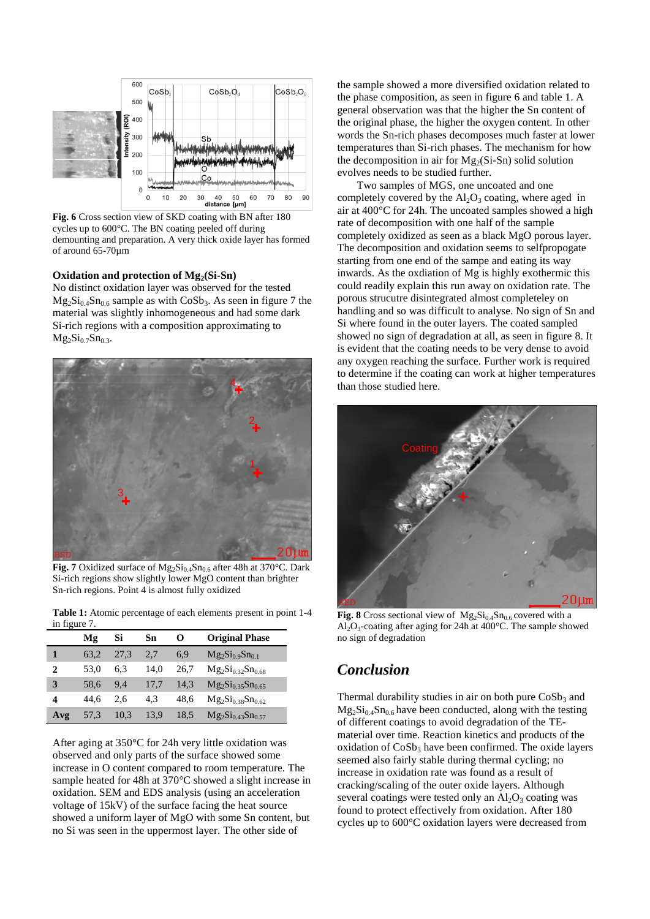

**Fig. 6** Cross section view of SKD coating with BN after 180 cycles up to 600°C. The BN coating peeled off during demounting and preparation. A very thick oxide layer has formed of around 65-70µm

#### **Oxidation and protection of Mg2(Si-Sn)**

No distinct oxidation layer was observed for the tested  $Mg_2Si_{0.4}Sn_{0.6}$  sample as with  $CoSb_3$ . As seen in figure 7 the material was slightly inhomogeneous and had some dark Si-rich regions with a composition approximating to  $Mg_2Si_{0.7}Sn_{0.3}$ .



**Fig. 7** Oxidized surface of  $Mg_2Si_{0.4}Sn_{0.6}$  after 48h at 370°C. Dark Si-rich regions show slightly lower MgO content than brighter Sn-rich regions. Point 4 is almost fully oxidized

**Table 1:** Atomic percentage of each elements present in point 1-4 in figure 7.

| ▱   |      |      |      |      |                          |
|-----|------|------|------|------|--------------------------|
|     | Mg   | Si   | Sn   | O    | <b>Original Phase</b>    |
|     | 63.2 | 27.3 | 2,7  | 6,9  | $Mg_2Si_{0.9}Sn_{0.1}$   |
| 2   | 53.0 | 6.3  | 14.0 | 26.7 | $Mg_2Si_{0.32}Sn_{0.68}$ |
| 3   | 58.6 | 9.4  | 17.7 | 14.3 | $Mg_2Si_{0.35}Sn_{0.65}$ |
| 4   | 44.6 | 2.6  | 4.3  | 48.6 | $Mg_2Si_{0.38}Sn_{0.62}$ |
| Avg | 57,3 | 10,3 | 13,9 | 18,5 | $Mg_2Si_{0.43}Sn_{0.57}$ |

After aging at 350°C for 24h very little oxidation was observed and only parts of the surface showed some increase in O content compared to room temperature. The sample heated for 48h at 370°C showed a slight increase in oxidation. SEM and EDS analysis (using an acceleration voltage of 15kV) of the surface facing the heat source showed a uniform layer of MgO with some Sn content, but no Si was seen in the uppermost layer. The other side of

the sample showed a more diversified oxidation related to the phase composition, as seen in figure 6 and table 1. A general observation was that the higher the Sn content of the original phase, the higher the oxygen content. In other words the Sn-rich phases decomposes much faster at lower temperatures than Si-rich phases. The mechanism for how the decomposition in air for  $Mg_2(Si-Sn)$  solid solution evolves needs to be studied further.

Two samples of MGS, one uncoated and one completely covered by the  $Al_2O_3$  coating, where aged in air at 400°C for 24h. The uncoated samples showed a high rate of decomposition with one half of the sample completely oxidized as seen as a black MgO porous layer. The decomposition and oxidation seems to selfpropogate starting from one end of the sampe and eating its way inwards. As the oxdiation of Mg is highly exothermic this could readily explain this run away on oxidation rate. The porous strucutre disintegrated almost completeley on handling and so was difficult to analyse. No sign of Sn and Si where found in the outer layers. The coated sampled showed no sign of degradation at all, as seen in figure 8. It is evident that the coating needs to be very dense to avoid any oxygen reaching the surface. Further work is required to determine if the coating can work at higher temperatures than those studied here.



**Fig. 8** Cross sectional view of  $Mg_2Si_{0.4}Sn_{0.6}$  covered with a  $Al_2O_3$ -coating after aging for 24h at 400°C. The sample showed no sign of degradation

## *Conclusion*

Thermal durability studies in air on both pure  $\cos b_3$  and  $Mg_2Si_{0.4}Sn_{0.6}$  have been conducted, along with the testing of different coatings to avoid degradation of the TEmaterial over time. Reaction kinetics and products of the oxidation of  $CoSb<sub>3</sub>$  have been confirmed. The oxide layers seemed also fairly stable during thermal cycling; no increase in oxidation rate was found as a result of cracking/scaling of the outer oxide layers. Although several coatings were tested only an  $Al_2O_3$  coating was found to protect effectively from oxidation. After 180 cycles up to 600°C oxidation layers were decreased from